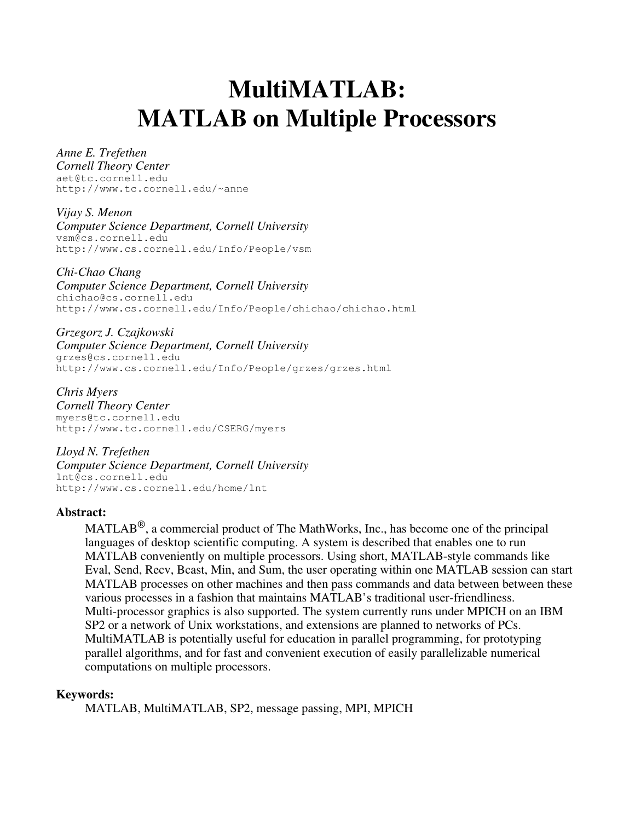# **MultiMATLAB: MATLAB on Multiple Processors**

#### *Anne E. Trefethen*

*Cornell Theory Center* aet@tc.cornell.edu http://www.tc.cornell.edu/~anne

*Vijay S. Menon Computer Science Department, Cornell University* vsm@cs.cornell.edu http://www.cs.cornell.edu/Info/People/vsm

*Chi-Chao Chang Computer Science Department, Cornell University* chichao@cs.cornell.edu http://www.cs.cornell.edu/Info/People/chichao/chichao.html

*Grzegorz J. Czajkowski Computer Science Department, Cornell University* grzes@cs.cornell.edu http://www.cs.cornell.edu/Info/People/grzes/grzes.html

*Chris Myers Cornell Theory Center* myers@tc.cornell.edu http://www.tc.cornell.edu/CSERG/myers

*Lloyd N. Trefethen Computer Science Department, Cornell University* lnt@cs.cornell.edu http://www.cs.cornell.edu/home/lnt

#### **Abstract:**

MATLAB<sup>®</sup>, a commercial product of The MathWorks, Inc., has become one of the principal languages of desktop scientific computing. A system is described that enables one to run MATLAB conveniently on multiple processors. Using short, MATLAB-style commands like Eval, Send, Recv, Bcast, Min, and Sum, the user operating within one MATLAB session can start MATLAB processes on other machines and then pass commands and data between between these various processes in a fashion that maintains MATLAB's traditional user-friendliness. Multi-processor graphics is also supported. The system currently runs under MPICH on an IBM SP2 or a network of Unix workstations, and extensions are planned to networks of PCs. MultiMATLAB is potentially useful for education in parallel programming, for prototyping parallel algorithms, and for fast and convenient execution of easily parallelizable numerical computations on multiple processors.

#### **Keywords:**

MATLAB, MultiMATLAB, SP2, message passing, MPI, MPICH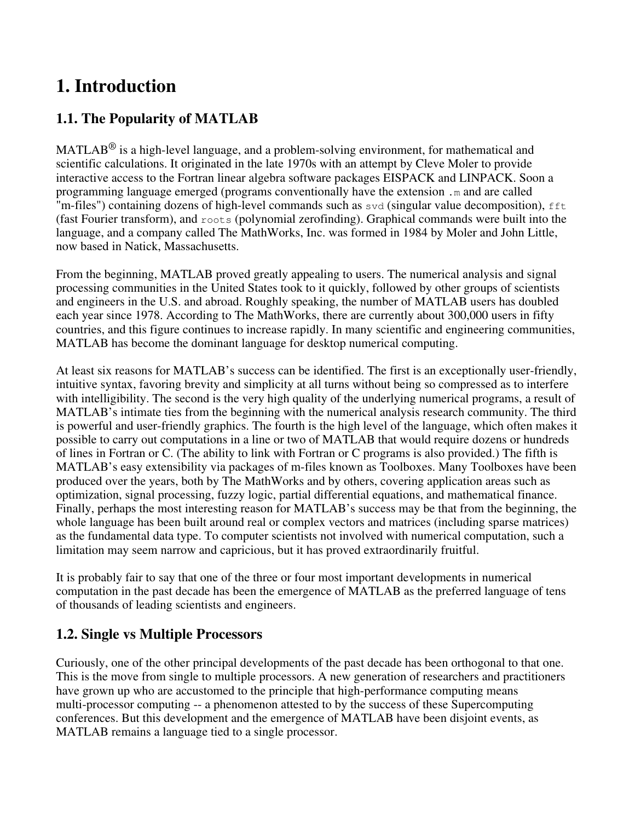## **1. Introduction**

### **1.1. The Popularity of MATLAB**

MATLAB<sup>®</sup> is a high-level language, and a problem-solving environment, for mathematical and scientific calculations. It originated in the late 1970s with an attempt by Cleve Moler to provide interactive access to the Fortran linear algebra software packages EISPACK and LINPACK. Soon a programming language emerged (programs conventionally have the extension .m and are called "m-files") containing dozens of high-level commands such as svd (singular value decomposition), fft (fast Fourier transform), and roots (polynomial zerofinding). Graphical commands were built into the language, and a company called The MathWorks, Inc. was formed in 1984 by Moler and John Little, now based in Natick, Massachusetts.

From the beginning, MATLAB proved greatly appealing to users. The numerical analysis and signal processing communities in the United States took to it quickly, followed by other groups of scientists and engineers in the U.S. and abroad. Roughly speaking, the number of MATLAB users has doubled each year since 1978. According to The MathWorks, there are currently about 300,000 users in fifty countries, and this figure continues to increase rapidly. In many scientific and engineering communities, MATLAB has become the dominant language for desktop numerical computing.

At least six reasons for MATLAB's success can be identified. The first is an exceptionally user-friendly, intuitive syntax, favoring brevity and simplicity at all turns without being so compressed as to interfere with intelligibility. The second is the very high quality of the underlying numerical programs, a result of MATLAB's intimate ties from the beginning with the numerical analysis research community. The third is powerful and user-friendly graphics. The fourth is the high level of the language, which often makes it possible to carry out computations in a line or two of MATLAB that would require dozens or hundreds of lines in Fortran or C. (The ability to link with Fortran or C programs is also provided.) The fifth is MATLAB's easy extensibility via packages of m-files known as Toolboxes. Many Toolboxes have been produced over the years, both by The MathWorks and by others, covering application areas such as optimization, signal processing, fuzzy logic, partial differential equations, and mathematical finance. Finally, perhaps the most interesting reason for MATLAB's success may be that from the beginning, the whole language has been built around real or complex vectors and matrices (including sparse matrices) as the fundamental data type. To computer scientists not involved with numerical computation, such a limitation may seem narrow and capricious, but it has proved extraordinarily fruitful.

It is probably fair to say that one of the three or four most important developments in numerical computation in the past decade has been the emergence of MATLAB as the preferred language of tens of thousands of leading scientists and engineers.

### **1.2. Single vs Multiple Processors**

Curiously, one of the other principal developments of the past decade has been orthogonal to that one. This is the move from single to multiple processors. A new generation of researchers and practitioners have grown up who are accustomed to the principle that high-performance computing means multi-processor computing -- a phenomenon attested to by the success of these Supercomputing conferences. But this development and the emergence of MATLAB have been disjoint events, as MATLAB remains a language tied to a single processor.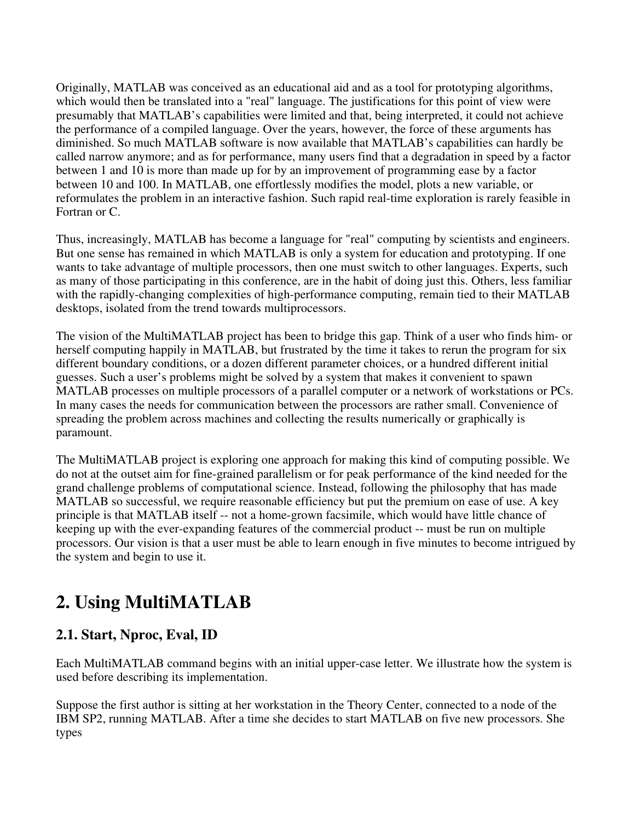Originally, MATLAB was conceived as an educational aid and as a tool for prototyping algorithms, which would then be translated into a "real" language. The justifications for this point of view were presumably that MATLAB's capabilities were limited and that, being interpreted, it could not achieve the performance of a compiled language. Over the years, however, the force of these arguments has diminished. So much MATLAB software is now available that MATLAB's capabilities can hardly be called narrow anymore; and as for performance, many users find that a degradation in speed by a factor between 1 and 10 is more than made up for by an improvement of programming ease by a factor between 10 and 100. In MATLAB, one effortlessly modifies the model, plots a new variable, or reformulates the problem in an interactive fashion. Such rapid real-time exploration is rarely feasible in Fortran or C.

Thus, increasingly, MATLAB has become a language for "real" computing by scientists and engineers. But one sense has remained in which MATLAB is only a system for education and prototyping. If one wants to take advantage of multiple processors, then one must switch to other languages. Experts, such as many of those participating in this conference, are in the habit of doing just this. Others, less familiar with the rapidly-changing complexities of high-performance computing, remain tied to their MATLAB desktops, isolated from the trend towards multiprocessors.

The vision of the MultiMATLAB project has been to bridge this gap. Think of a user who finds him- or herself computing happily in MATLAB, but frustrated by the time it takes to rerun the program for six different boundary conditions, or a dozen different parameter choices, or a hundred different initial guesses. Such a user's problems might be solved by a system that makes it convenient to spawn MATLAB processes on multiple processors of a parallel computer or a network of workstations or PCs. In many cases the needs for communication between the processors are rather small. Convenience of spreading the problem across machines and collecting the results numerically or graphically is paramount.

The MultiMATLAB project is exploring one approach for making this kind of computing possible. We do not at the outset aim for fine-grained parallelism or for peak performance of the kind needed for the grand challenge problems of computational science. Instead, following the philosophy that has made MATLAB so successful, we require reasonable efficiency but put the premium on ease of use. A key principle is that MATLAB itself -- not a home-grown facsimile, which would have little chance of keeping up with the ever-expanding features of the commercial product -- must be run on multiple processors. Our vision is that a user must be able to learn enough in five minutes to become intrigued by the system and begin to use it.

## **2. Using MultiMATLAB**

### **2.1. Start, Nproc, Eval, ID**

Each MultiMATLAB command begins with an initial upper-case letter. We illustrate how the system is used before describing its implementation.

Suppose the first author is sitting at her workstation in the Theory Center, connected to a node of the IBM SP2, running MATLAB. After a time she decides to start MATLAB on five new processors. She types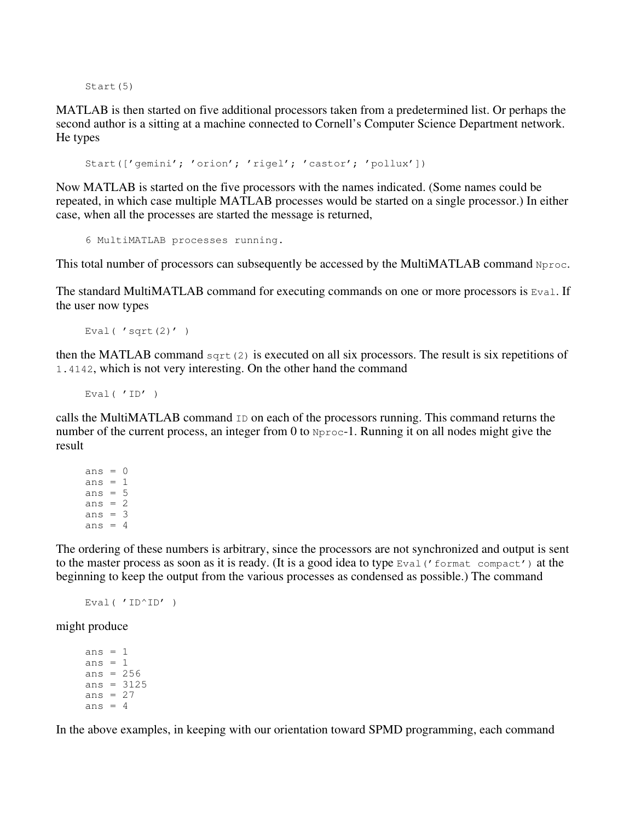Start(5)

MATLAB is then started on five additional processors taken from a predetermined list. Or perhaps the second author is a sitting at a machine connected to Cornell's Computer Science Department network. He types

Start(['gemini'; 'orion'; 'rigel'; 'castor'; 'pollux'])

Now MATLAB is started on the five processors with the names indicated. (Some names could be repeated, in which case multiple MATLAB processes would be started on a single processor.) In either case, when all the processes are started the message is returned,

6 MultiMATLAB processes running.

This total number of processors can subsequently be accessed by the MultiMATLAB command Nproc.

The standard MultiMATLAB command for executing commands on one or more processors is  $Eval$ . If the user now types

```
Eval ('sqrt(2)')
```
then the MATLAB command sqrt(2) is executed on all six processors. The result is six repetitions of 1.4142, which is not very interesting. On the other hand the command

Eval( $'ID'$ )

calls the MultiMATLAB command ID on each of the processors running. This command returns the number of the current process, an integer from 0 to Nproc-1. Running it on all nodes might give the result

ans  $= 0$ ans  $= 1$ ans  $= 5$ ans  $= 2$ ans  $=$  3 ans  $= 4$ 

The ordering of these numbers is arbitrary, since the processors are not synchronized and output is sent to the master process as soon as it is ready. (It is a good idea to type Eval('format compact') at the beginning to keep the output from the various processes as condensed as possible.) The command

```
Eval( 'ID^ID' )
```
might produce

ans  $= 1$ ans  $= 1$ ans  $= 256$ ans  $= 3125$ ans  $= 27$ ans  $= 4$ 

In the above examples, in keeping with our orientation toward SPMD programming, each command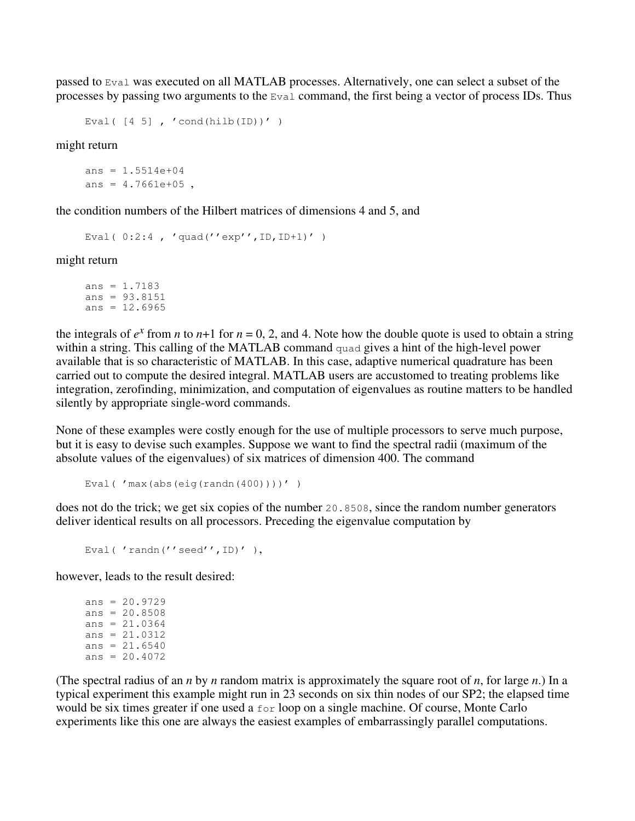passed to Eval was executed on all MATLAB processes. Alternatively, one can select a subset of the processes by passing two arguments to the Eval command, the first being a vector of process IDs. Thus

```
Eval([4 5], 'cond(hilb(ID))')
```
might return

 $ans = 1.5514e+04$ ans =  $4.7661e+05$ ,

the condition numbers of the Hilbert matrices of dimensions 4 and 5, and

```
Eval( 0:2:4 , 'quad(''exp'',ID,ID+1)' )
```
might return

```
ans = 1.7183ans = 93.8151
ans = 12.6965
```
the integrals of  $e^x$  from *n* to *n*+1 for  $n = 0, 2$ , and 4. Note how the double quote is used to obtain a string within a string. This calling of the MATLAB command quad gives a hint of the high-level power available that is so characteristic of MATLAB. In this case, adaptive numerical quadrature has been carried out to compute the desired integral. MATLAB users are accustomed to treating problems like integration, zerofinding, minimization, and computation of eigenvalues as routine matters to be handled silently by appropriate single-word commands.

None of these examples were costly enough for the use of multiple processors to serve much purpose, but it is easy to devise such examples. Suppose we want to find the spectral radii (maximum of the absolute values of the eigenvalues) of six matrices of dimension 400. The command

```
Eval( 'max(abs(eiq(randn(400))))'))
```
does not do the trick; we get six copies of the number 20.8508, since the random number generators deliver identical results on all processors. Preceding the eigenvalue computation by

```
Eval( 'randn(''seed'', ID)' ),
```
however, leads to the result desired:

```
ans = 20.9729ans = 20.8508ans = 21.0364ans = 21.0312ans = 21.6540ans = 20.4072
```
(The spectral radius of an *n* by *n* random matrix is approximately the square root of *n*, for large *n*.) In a typical experiment this example might run in 23 seconds on six thin nodes of our SP2; the elapsed time would be six times greater if one used a for loop on a single machine. Of course, Monte Carlo experiments like this one are always the easiest examples of embarrassingly parallel computations.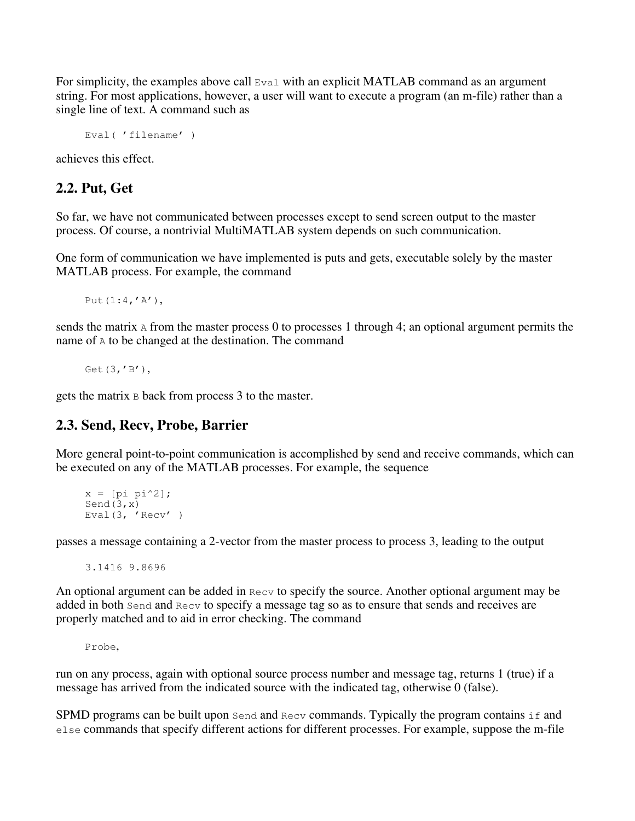For simplicity, the examples above call  $Eval$  with an explicit MATLAB command as an argument string. For most applications, however, a user will want to execute a program (an m-file) rather than a single line of text. A command such as

```
Eval( 'filename' )
```
achieves this effect.

#### **2.2. Put, Get**

So far, we have not communicated between processes except to send screen output to the master process. Of course, a nontrivial MultiMATLAB system depends on such communication.

One form of communication we have implemented is puts and gets, executable solely by the master MATLAB process. For example, the command

Put(1:4,'A'),

sends the matrix  $\Delta$  from the master process 0 to processes 1 through 4; an optional argument permits the name of A to be changed at the destination. The command

Get(3,'B'),

gets the matrix B back from process 3 to the master.

#### **2.3. Send, Recv, Probe, Barrier**

More general point-to-point communication is accomplished by send and receive commands, which can be executed on any of the MATLAB processes. For example, the sequence

```
x = [pi pi^2];Send(3, x)Eval(3, 'Recv' )
```
passes a message containing a 2-vector from the master process to process 3, leading to the output

3.1416 9.8696

An optional argument can be added in Recv to specify the source. Another optional argument may be added in both Send and Recv to specify a message tag so as to ensure that sends and receives are properly matched and to aid in error checking. The command

Probe,

run on any process, again with optional source process number and message tag, returns 1 (true) if a message has arrived from the indicated source with the indicated tag, otherwise 0 (false).

SPMD programs can be built upon Send and Recv commands. Typically the program contains if and else commands that specify different actions for different processes. For example, suppose the m-file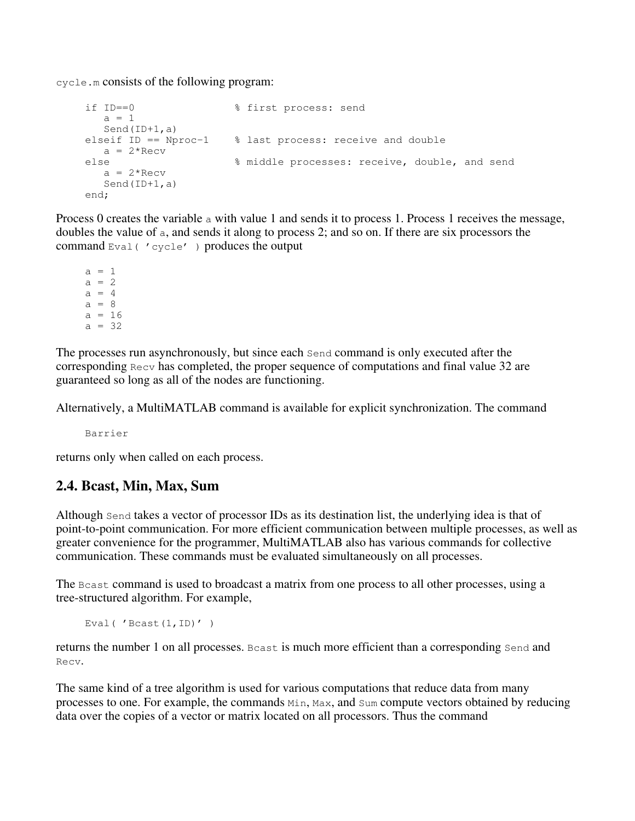cycle.m consists of the following program:

```
if ID==0 % first process: send
 a = 1 Send(ID+1,a)
elseif ID == Nproc-1 % last process: receive and double
 a = 2*Recvelse % middle processes: receive, double, and send
  a = 2*Recv Send(ID+1,a)
end;
```
Process 0 creates the variable  $\alpha$  with value 1 and sends it to process 1. Process 1 receives the message, doubles the value of a, and sends it along to process 2; and so on. If there are six processors the command  $Eval$  (  $vcvele'$  ) produces the output

 $a = 1$  $a = 2$  $a = 4$  $a = 8$  $a = 16$  $a = 32$ 

The processes run asynchronously, but since each Send command is only executed after the corresponding  $Recv$  has completed, the proper sequence of computations and final value 32 are guaranteed so long as all of the nodes are functioning.

Alternatively, a MultiMATLAB command is available for explicit synchronization. The command

Barrier

returns only when called on each process.

#### **2.4. Bcast, Min, Max, Sum**

Although Send takes a vector of processor IDs as its destination list, the underlying idea is that of point-to-point communication. For more efficient communication between multiple processes, as well as greater convenience for the programmer, MultiMATLAB also has various commands for collective communication. These commands must be evaluated simultaneously on all processes.

The Boast command is used to broadcast a matrix from one process to all other processes, using a tree-structured algorithm. For example,

Eval( 'Bcast(1,ID)' )

returns the number 1 on all processes. Bcast is much more efficient than a corresponding Send and Recv.

The same kind of a tree algorithm is used for various computations that reduce data from many processes to one. For example, the commands Min, Max, and Sum compute vectors obtained by reducing data over the copies of a vector or matrix located on all processors. Thus the command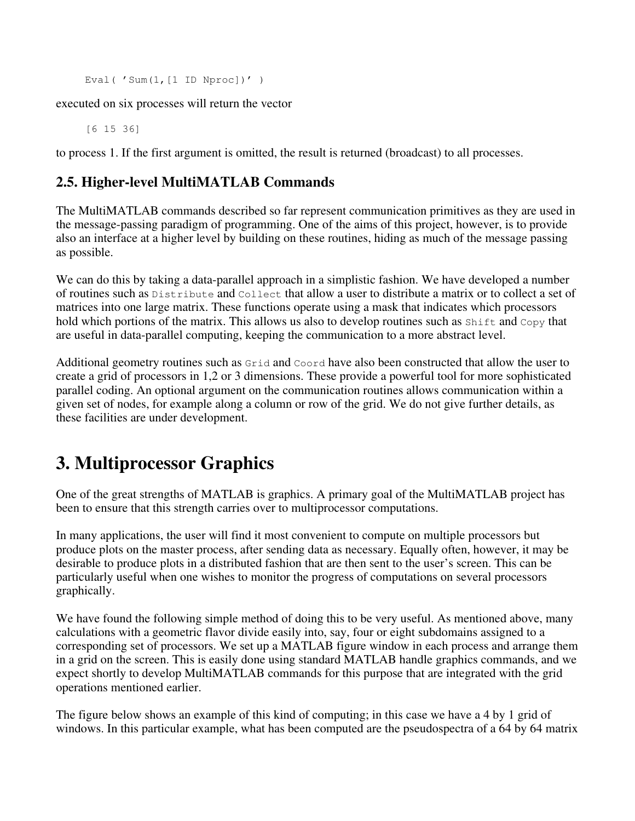```
Eval( 'Sum(1, [1 ID Nproc])' )
```
executed on six processes will return the vector

[6 15 36]

to process 1. If the first argument is omitted, the result is returned (broadcast) to all processes.

### **2.5. Higher-level MultiMATLAB Commands**

The MultiMATLAB commands described so far represent communication primitives as they are used in the message-passing paradigm of programming. One of the aims of this project, however, is to provide also an interface at a higher level by building on these routines, hiding as much of the message passing as possible.

We can do this by taking a data-parallel approach in a simplistic fashion. We have developed a number of routines such as Distribute and Collect that allow a user to distribute a matrix or to collect a set of matrices into one large matrix. These functions operate using a mask that indicates which processors hold which portions of the matrix. This allows us also to develop routines such as  $Shift$  and  $Copy$  that are useful in data-parallel computing, keeping the communication to a more abstract level.

Additional geometry routines such as Grid and Coord have also been constructed that allow the user to create a grid of processors in 1,2 or 3 dimensions. These provide a powerful tool for more sophisticated parallel coding. An optional argument on the communication routines allows communication within a given set of nodes, for example along a column or row of the grid. We do not give further details, as these facilities are under development.

## **3. Multiprocessor Graphics**

One of the great strengths of MATLAB is graphics. A primary goal of the MultiMATLAB project has been to ensure that this strength carries over to multiprocessor computations.

In many applications, the user will find it most convenient to compute on multiple processors but produce plots on the master process, after sending data as necessary. Equally often, however, it may be desirable to produce plots in a distributed fashion that are then sent to the user's screen. This can be particularly useful when one wishes to monitor the progress of computations on several processors graphically.

We have found the following simple method of doing this to be very useful. As mentioned above, many calculations with a geometric flavor divide easily into, say, four or eight subdomains assigned to a corresponding set of processors. We set up a MATLAB figure window in each process and arrange them in a grid on the screen. This is easily done using standard MATLAB handle graphics commands, and we expect shortly to develop MultiMATLAB commands for this purpose that are integrated with the grid operations mentioned earlier.

The figure below shows an example of this kind of computing; in this case we have a 4 by 1 grid of windows. In this particular example, what has been computed are the pseudospectra of a 64 by 64 matrix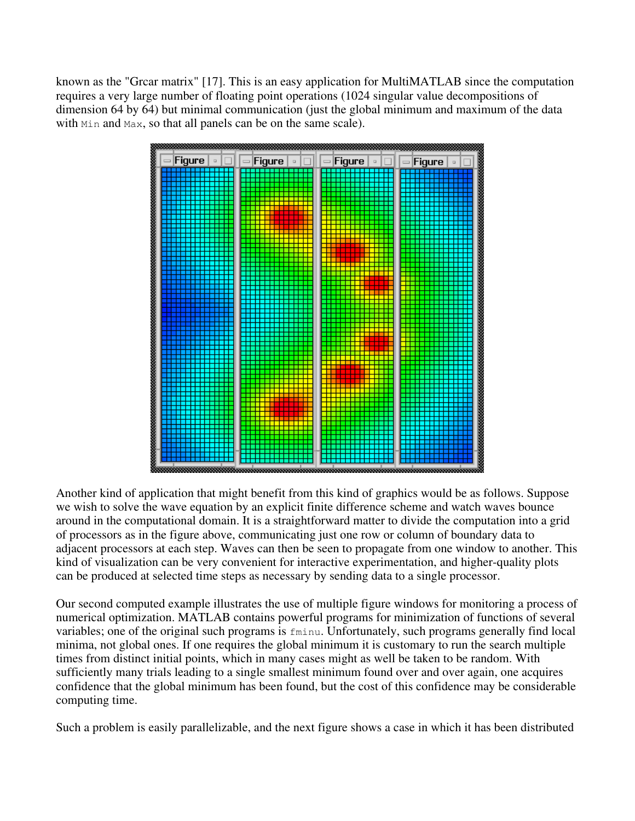known as the "Grcar matrix" [17]. This is an easy application for MultiMATLAB since the computation requires a very large number of floating point operations (1024 singular value decompositions of dimension 64 by 64) but minimal communication (just the global minimum and maximum of the data with Min and Max, so that all panels can be on the same scale).



Another kind of application that might benefit from this kind of graphics would be as follows. Suppose we wish to solve the wave equation by an explicit finite difference scheme and watch waves bounce around in the computational domain. It is a straightforward matter to divide the computation into a grid of processors as in the figure above, communicating just one row or column of boundary data to adjacent processors at each step. Waves can then be seen to propagate from one window to another. This kind of visualization can be very convenient for interactive experimentation, and higher-quality plots can be produced at selected time steps as necessary by sending data to a single processor.

Our second computed example illustrates the use of multiple figure windows for monitoring a process of numerical optimization. MATLAB contains powerful programs for minimization of functions of several variables; one of the original such programs is fminu. Unfortunately, such programs generally find local minima, not global ones. If one requires the global minimum it is customary to run the search multiple times from distinct initial points, which in many cases might as well be taken to be random. With sufficiently many trials leading to a single smallest minimum found over and over again, one acquires confidence that the global minimum has been found, but the cost of this confidence may be considerable computing time.

Such a problem is easily parallelizable, and the next figure shows a case in which it has been distributed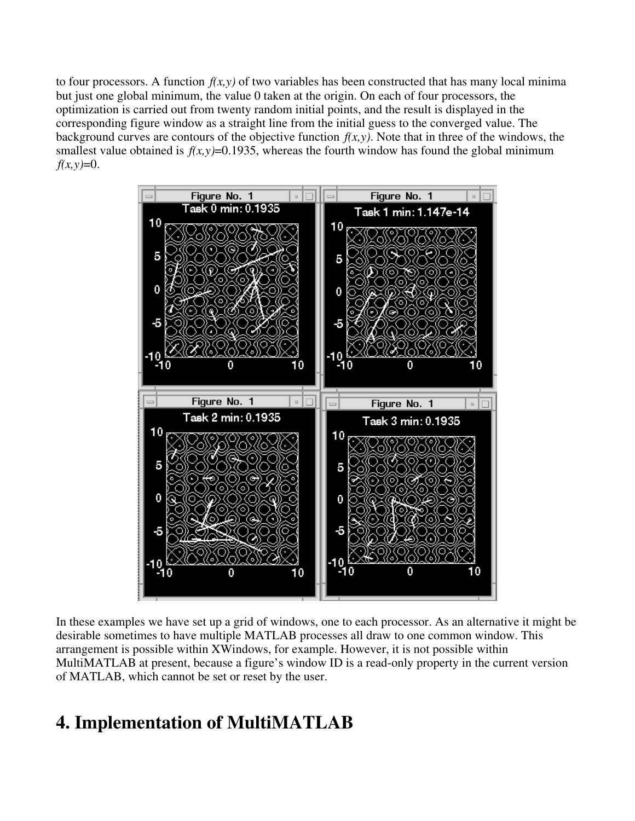to four processors. A function  $f(x, y)$  of two variables has been constructed that has many local minima but just one global minimum, the value 0 taken at the origin. On each of four processors, the optimization is carried out from twenty random initial points, and the result is displayed in the corresponding figure window as a straight line from the initial guess to the converged value. The background curves are contours of the objective function  $f(x, y)$ . Note that in three of the windows, the smallest value obtained is  $f(x, y)=0.1935$ , whereas the fourth window has found the global minimum  $f(x, y) = 0.$ 



In these examples we have set up a grid of windows, one to each processor. As an alternative it might be desirable sometimes to have multiple MATLAB processes all draw to one common window. This arrangement is possible within XWindows, for example. However, it is not possible within MultiMATLAB at present, because a figure's window ID is a read-only property in the current version of MATLAB, which cannot be set or reset by the user.

## **4. Implementation of MultiMATLAB**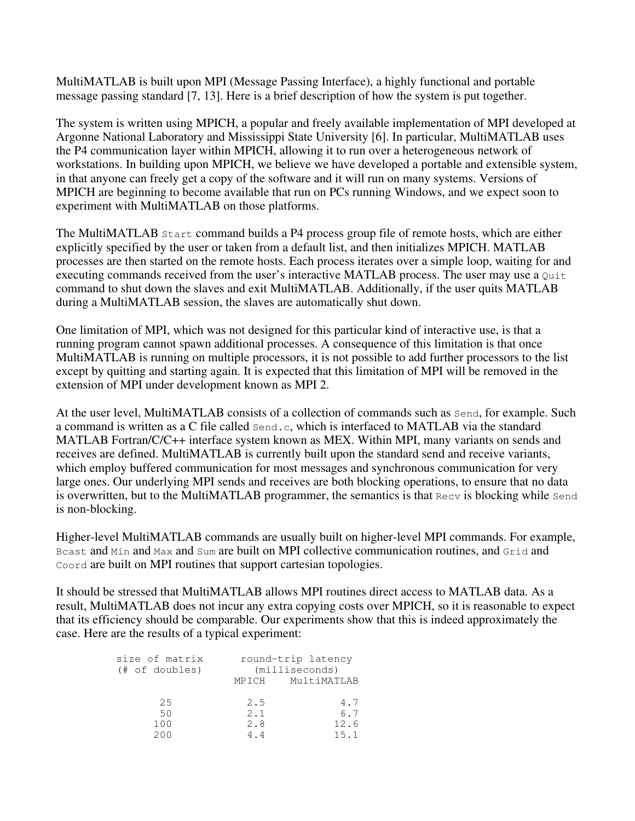MultiMATLAB is built upon MPI (Message Passing Interface), a highly functional and portable message passing standard [7, 13]. Here is a brief description of how the system is put together.

The system is written using MPICH, a popular and freely available implementation of MPI developed at Argonne National Laboratory and Mississippi State University [6]. In particular, MultiMATLAB uses the P4 communication layer within MPICH, allowing it to run over a heterogeneous network of workstations. In building upon MPICH, we believe we have developed a portable and extensible system, in that anyone can freely get a copy of the software and it will run on many systems. Versions of MPICH are beginning to become available that run on PCs running Windows, and we expect soon to experiment with MultiMATLAB on those platforms.

The MultiMATLAB Start command builds a P4 process group file of remote hosts, which are either explicitly specified by the user or taken from a default list, and then initializes MPICH. MATLAB processes are then started on the remote hosts. Each process iterates over a simple loop, waiting for and executing commands received from the user's interactive MATLAB process. The user may use a Quit command to shut down the slaves and exit MultiMATLAB. Additionally, if the user quits MATLAB during a MultiMATLAB session, the slaves are automatically shut down.

One limitation of MPI, which was not designed for this particular kind of interactive use, is that a running program cannot spawn additional processes. A consequence of this limitation is that once MultiMATLAB is running on multiple processors, it is not possible to add further processors to the list except by quitting and starting again. It is expected that this limitation of MPI will be removed in the extension of MPI under development known as MPI 2.

At the user level, MultiMATLAB consists of a collection of commands such as Send, for example. Such a command is written as a C file called Send.c, which is interfaced to MATLAB via the standard MATLAB Fortran/C/C++ interface system known as MEX. Within MPI, many variants on sends and receives are defined. MultiMATLAB is currently built upon the standard send and receive variants, which employ buffered communication for most messages and synchronous communication for very large ones. Our underlying MPI sends and receives are both blocking operations, to ensure that no data is overwritten, but to the MultiMATLAB programmer, the semantics is that Recv is blocking while Send is non-blocking.

Higher-level MultiMATLAB commands are usually built on higher-level MPI commands. For example, Beast and Min and Max and Sum are built on MPI collective communication routines, and Grid and Coord are built on MPI routines that support cartesian topologies.

It should be stressed that MultiMATLAB allows MPI routines direct access to MATLAB data. As a result, MultiMATLAB does not incur any extra copying costs over MPICH, so it is reasonable to expect that its efficiency should be comparable. Our experiments show that this is indeed approximately the case. Here are the results of a typical experiment:

| size of matrix<br>$(\# of doubles)$ | round-trip latency<br>(millisecons) |             |
|-------------------------------------|-------------------------------------|-------------|
|                                     | MPICH                               | MultiMATLAB |
| 2.5                                 | 2.5                                 | 4.7         |
| 50                                  | 2.1                                 | 6.7         |
| 100                                 | 2.8                                 | 12.6        |
| 200                                 | 44                                  | 15.1        |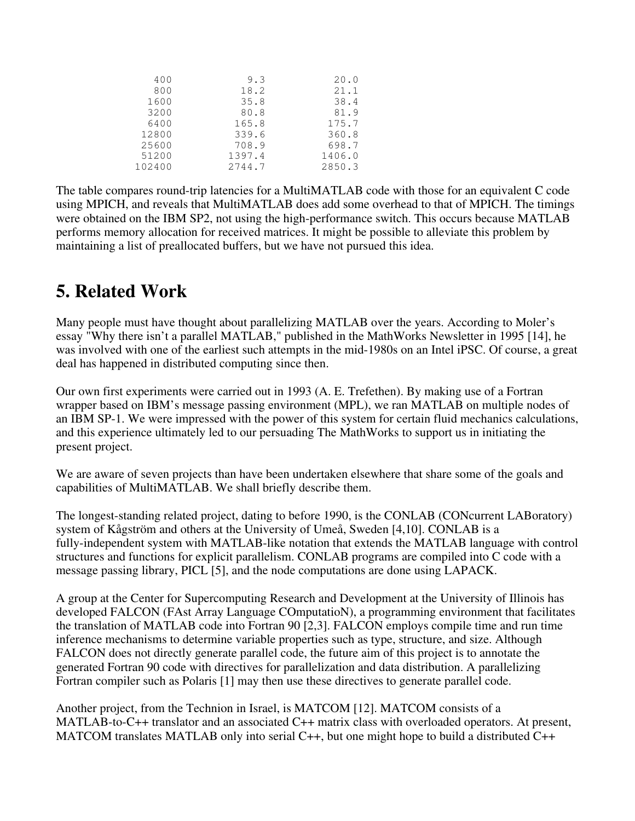| 400    | 9.3    | 20.0   |
|--------|--------|--------|
| 800    | 18.2   | 21.1   |
| 1600   | 35.8   | 38.4   |
| 3200   | 80.8   | 81.9   |
| 6400   | 165.8  | 175.7  |
| 12800  | 339.6  | 360.8  |
| 25600  | 708.9  | 698.7  |
| 51200  | 1397.4 | 1406.0 |
| 102400 | 2744.7 | 2850.3 |

The table compares round-trip latencies for a MultiMATLAB code with those for an equivalent C code using MPICH, and reveals that MultiMATLAB does add some overhead to that of MPICH. The timings were obtained on the IBM SP2, not using the high-performance switch. This occurs because MATLAB performs memory allocation for received matrices. It might be possible to alleviate this problem by maintaining a list of preallocated buffers, but we have not pursued this idea.

### **5. Related Work**

Many people must have thought about parallelizing MATLAB over the years. According to Moler's essay "Why there isn't a parallel MATLAB," published in the MathWorks Newsletter in 1995 [14], he was involved with one of the earliest such attempts in the mid-1980s on an Intel iPSC. Of course, a great deal has happened in distributed computing since then.

Our own first experiments were carried out in 1993 (A. E. Trefethen). By making use of a Fortran wrapper based on IBM's message passing environment (MPL), we ran MATLAB on multiple nodes of an IBM SP-1. We were impressed with the power of this system for certain fluid mechanics calculations, and this experience ultimately led to our persuading The MathWorks to support us in initiating the present project.

We are aware of seven projects than have been undertaken elsewhere that share some of the goals and capabilities of MultiMATLAB. We shall briefly describe them.

The longest-standing related project, dating to before 1990, is the CONLAB (CONcurrent LABoratory) system of Kågström and others at the University of Umeå, Sweden [4,10]. CONLAB is a fully-independent system with MATLAB-like notation that extends the MATLAB language with control structures and functions for explicit parallelism. CONLAB programs are compiled into C code with a message passing library, PICL [5], and the node computations are done using LAPACK.

A group at the Center for Supercomputing Research and Development at the University of Illinois has developed FALCON (FAst Array Language COmputatioN), a programming environment that facilitates the translation of MATLAB code into Fortran 90 [2,3]. FALCON employs compile time and run time inference mechanisms to determine variable properties such as type, structure, and size. Although FALCON does not directly generate parallel code, the future aim of this project is to annotate the generated Fortran 90 code with directives for parallelization and data distribution. A parallelizing Fortran compiler such as Polaris [1] may then use these directives to generate parallel code.

Another project, from the Technion in Israel, is MATCOM [12]. MATCOM consists of a MATLAB-to-C++ translator and an associated C++ matrix class with overloaded operators. At present, MATCOM translates MATLAB only into serial C++, but one might hope to build a distributed C++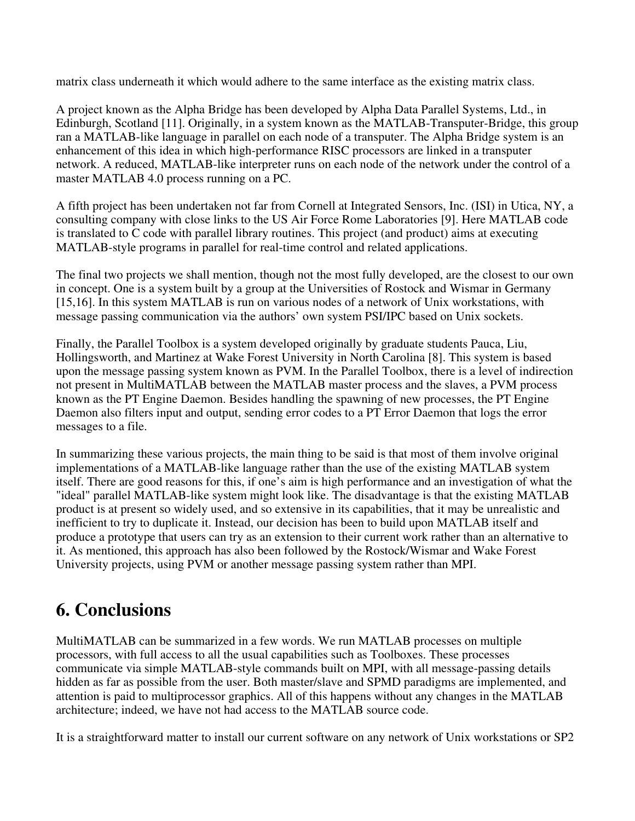matrix class underneath it which would adhere to the same interface as the existing matrix class.

A project known as the Alpha Bridge has been developed by Alpha Data Parallel Systems, Ltd., in Edinburgh, Scotland [11]. Originally, in a system known as the MATLAB-Transputer-Bridge, this group ran a MATLAB-like language in parallel on each node of a transputer. The Alpha Bridge system is an enhancement of this idea in which high-performance RISC processors are linked in a transputer network. A reduced, MATLAB-like interpreter runs on each node of the network under the control of a master MATLAB 4.0 process running on a PC.

A fifth project has been undertaken not far from Cornell at Integrated Sensors, Inc. (ISI) in Utica, NY, a consulting company with close links to the US Air Force Rome Laboratories [9]. Here MATLAB code is translated to C code with parallel library routines. This project (and product) aims at executing MATLAB-style programs in parallel for real-time control and related applications.

The final two projects we shall mention, though not the most fully developed, are the closest to our own in concept. One is a system built by a group at the Universities of Rostock and Wismar in Germany [15,16]. In this system MATLAB is run on various nodes of a network of Unix workstations, with message passing communication via the authors' own system PSI/IPC based on Unix sockets.

Finally, the Parallel Toolbox is a system developed originally by graduate students Pauca, Liu, Hollingsworth, and Martinez at Wake Forest University in North Carolina [8]. This system is based upon the message passing system known as PVM. In the Parallel Toolbox, there is a level of indirection not present in MultiMATLAB between the MATLAB master process and the slaves, a PVM process known as the PT Engine Daemon. Besides handling the spawning of new processes, the PT Engine Daemon also filters input and output, sending error codes to a PT Error Daemon that logs the error messages to a file.

In summarizing these various projects, the main thing to be said is that most of them involve original implementations of a MATLAB-like language rather than the use of the existing MATLAB system itself. There are good reasons for this, if one's aim is high performance and an investigation of what the "ideal" parallel MATLAB-like system might look like. The disadvantage is that the existing MATLAB product is at present so widely used, and so extensive in its capabilities, that it may be unrealistic and inefficient to try to duplicate it. Instead, our decision has been to build upon MATLAB itself and produce a prototype that users can try as an extension to their current work rather than an alternative to it. As mentioned, this approach has also been followed by the Rostock/Wismar and Wake Forest University projects, using PVM or another message passing system rather than MPI.

## **6. Conclusions**

MultiMATLAB can be summarized in a few words. We run MATLAB processes on multiple processors, with full access to all the usual capabilities such as Toolboxes. These processes communicate via simple MATLAB-style commands built on MPI, with all message-passing details hidden as far as possible from the user. Both master/slave and SPMD paradigms are implemented, and attention is paid to multiprocessor graphics. All of this happens without any changes in the MATLAB architecture; indeed, we have not had access to the MATLAB source code.

It is a straightforward matter to install our current software on any network of Unix workstations or SP2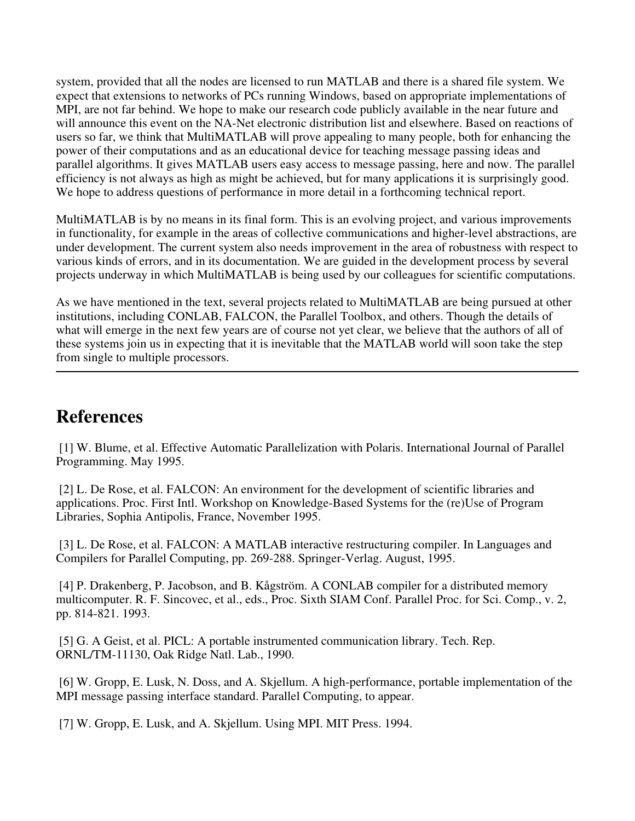system, provided that all the nodes are licensed to run MATLAB and there is a shared file system. We expect that extensions to networks of PCs running Windows, based on appropriate implementations of MPI, are not far behind. We hope to make our research code publicly available in the near future and will announce this event on the NA-Net electronic distribution list and elsewhere. Based on reactions of users so far, we think that MultiMATLAB will prove appealing to many people, both for enhancing the power of their computations and as an educational device for teaching message passing ideas and parallel algorithms. It gives MATLAB users easy access to message passing, here and now. The parallel efficiency is not always as high as might be achieved, but for many applications it is surprisingly good. We hope to address questions of performance in more detail in a forthcoming technical report.

MultiMATLAB is by no means in its final form. This is an evolving project, and various improvements in functionality, for example in the areas of collective communications and higher-level abstractions, are under development. The current system also needs improvement in the area of robustness with respect to various kinds of errors, and in its documentation. We are guided in the development process by several projects underway in which MultiMATLAB is being used by our colleagues for scientific computations.

As we have mentioned in the text, several projects related to MultiMATLAB are being pursued at other institutions, including CONLAB, FALCON, the Parallel Toolbox, and others. Though the details of what will emerge in the next few years are of course not yet clear, we believe that the authors of all of these systems join us in expecting that it is inevitable that the MATLAB world will soon take the step from single to multiple processors.

### **References**

[1] W. Blume, et al. Effective Automatic Parallelization with Polaris. International Journal of Parallel Programming. May 1995.

[2] L. De Rose, et al. FALCON: An environment for the development of scientific libraries and applications. Proc. First Intl. Workshop on Knowledge-Based Systems for the (re)Use of Program Libraries, Sophia Antipolis, France, November 1995.

[3] L. De Rose, et al. FALCON: A MATLAB interactive restructuring compiler. In Languages and Compilers for Parallel Computing, pp. 269-288. Springer-Verlag. August, 1995.

[4] P. Drakenberg, P. Jacobson, and B. Kågström. A CONLAB compiler for a distributed memory multicomputer. R. F. Sincovec, et al., eds., Proc. Sixth SIAM Conf. Parallel Proc. for Sci. Comp., v. 2, pp. 814-821. 1993.

[5] G. A Geist, et al. PICL: A portable instrumented communication library. Tech. Rep. ORNL/TM-11130, Oak Ridge Natl. Lab., 1990.

[6] W. Gropp, E. Lusk, N. Doss, and A. Skjellum. A high-performance, portable implementation of the MPI message passing interface standard. Parallel Computing, to appear.

[7] W. Gropp, E. Lusk, and A. Skjellum. Using MPI. MIT Press. 1994.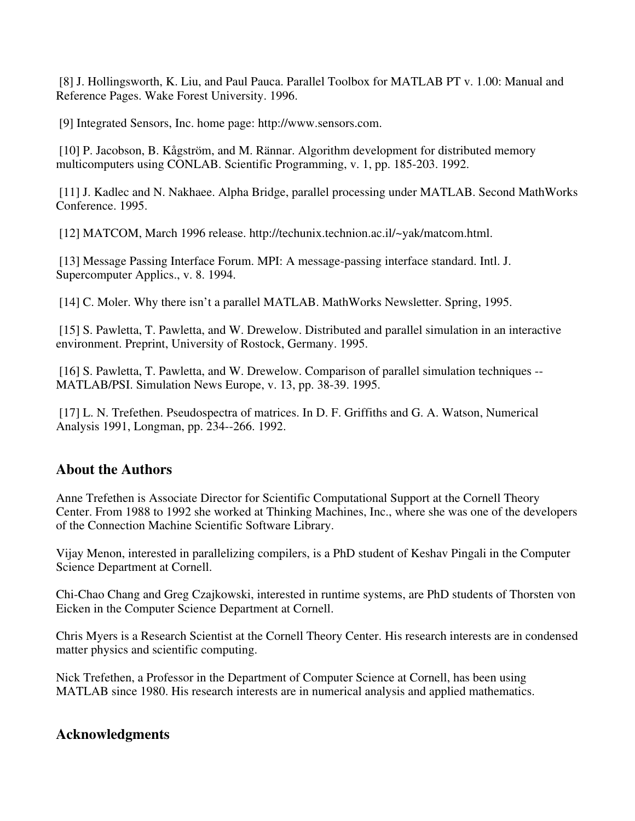[8] J. Hollingsworth, K. Liu, and Paul Pauca. Parallel Toolbox for MATLAB PT v. 1.00: Manual and Reference Pages. Wake Forest University. 1996.

[9] Integrated Sensors, Inc. home page: http://www.sensors.com.

[10] P. Jacobson, B. Kågström, and M. Rännar. Algorithm development for distributed memory multicomputers using CONLAB. Scientific Programming, v. 1, pp. 185-203. 1992.

[11] J. Kadlec and N. Nakhaee. Alpha Bridge, parallel processing under MATLAB. Second MathWorks Conference. 1995.

[12] MATCOM, March 1996 release. http://techunix.technion.ac.il/~yak/matcom.html.

[13] Message Passing Interface Forum. MPI: A message-passing interface standard. Intl. J. Supercomputer Applics., v. 8. 1994.

[14] C. Moler. Why there isn't a parallel MATLAB. MathWorks Newsletter. Spring, 1995.

[15] S. Pawletta, T. Pawletta, and W. Drewelow. Distributed and parallel simulation in an interactive environment. Preprint, University of Rostock, Germany. 1995.

[16] S. Pawletta, T. Pawletta, and W. Drewelow. Comparison of parallel simulation techniques -- MATLAB/PSI. Simulation News Europe, v. 13, pp. 38-39. 1995.

[17] L. N. Trefethen. Pseudospectra of matrices. In D. F. Griffiths and G. A. Watson, Numerical Analysis 1991, Longman, pp. 234--266. 1992.

#### **About the Authors**

Anne Trefethen is Associate Director for Scientific Computational Support at the Cornell Theory Center. From 1988 to 1992 she worked at Thinking Machines, Inc., where she was one of the developers of the Connection Machine Scientific Software Library.

Vijay Menon, interested in parallelizing compilers, is a PhD student of Keshav Pingali in the Computer Science Department at Cornell.

Chi-Chao Chang and Greg Czajkowski, interested in runtime systems, are PhD students of Thorsten von Eicken in the Computer Science Department at Cornell.

Chris Myers is a Research Scientist at the Cornell Theory Center. His research interests are in condensed matter physics and scientific computing.

Nick Trefethen, a Professor in the Department of Computer Science at Cornell, has been using MATLAB since 1980. His research interests are in numerical analysis and applied mathematics.

#### **Acknowledgments**